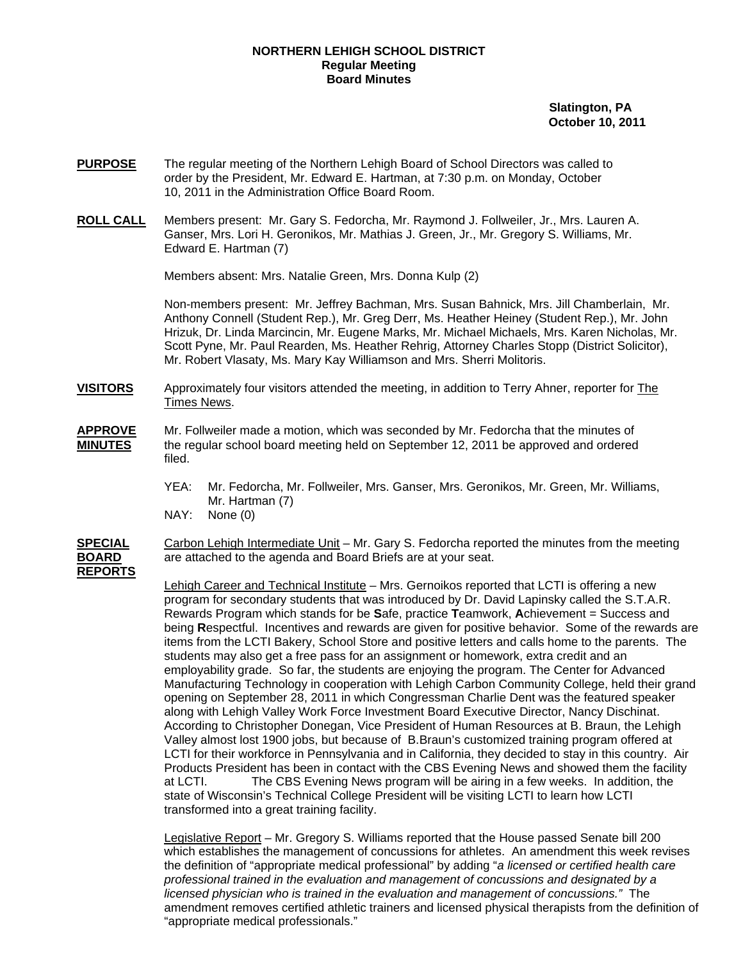## **NORTHERN LEHIGH SCHOOL DISTRICT Regular Meeting Board Minutes**

 **Slatington, PA October 10, 2011** 

- **PURPOSE** The regular meeting of the Northern Lehigh Board of School Directors was called to order by the President, Mr. Edward E. Hartman, at 7:30 p.m. on Monday, October 10, 2011 in the Administration Office Board Room.
- **ROLL CALL** Members present: Mr. Gary S. Fedorcha, Mr. Raymond J. Follweiler, Jr., Mrs. Lauren A. Ganser, Mrs. Lori H. Geronikos, Mr. Mathias J. Green, Jr., Mr. Gregory S. Williams, Mr. Edward E. Hartman (7)

Members absent: Mrs. Natalie Green, Mrs. Donna Kulp (2)

Non-members present: Mr. Jeffrey Bachman, Mrs. Susan Bahnick, Mrs. Jill Chamberlain, Mr. Anthony Connell (Student Rep.), Mr. Greg Derr, Ms. Heather Heiney (Student Rep.), Mr. John Hrizuk, Dr. Linda Marcincin, Mr. Eugene Marks, Mr. Michael Michaels, Mrs. Karen Nicholas, Mr. Scott Pyne, Mr. Paul Rearden, Ms. Heather Rehrig, Attorney Charles Stopp (District Solicitor), Mr. Robert Vlasaty, Ms. Mary Kay Williamson and Mrs. Sherri Molitoris.

- **VISITORS** Approximately four visitors attended the meeting, in addition to Terry Ahner, reporter for The Times News.
- **APPROVE** Mr. Follweiler made a motion, which was seconded by Mr. Fedorcha that the minutes of **MINUTES** the regular school board meeting held on September 12, 2011 be approved and ordered filed.
	- YEA: Mr. Fedorcha, Mr. Follweiler, Mrs. Ganser, Mrs. Geronikos, Mr. Green, Mr. Williams, Mr. Hartman (7)
	- NAY: None (0)
- **SPECIAL** Carbon Lehigh Intermediate Unit Mr. Gary S. Fedorcha reported the minutes from the meeting **BOARD** are attached to the agenda and Board Briefs are at your seat. **REPORTS**

Lehigh Career and Technical Institute – Mrs. Gernoikos reported that LCTI is offering a new program for secondary students that was introduced by Dr. David Lapinsky called the S.T.A.R. Rewards Program which stands for be **S**afe, practice **T**eamwork, **A**chievement = Success and being **R**espectful. Incentives and rewards are given for positive behavior. Some of the rewards are items from the LCTI Bakery, School Store and positive letters and calls home to the parents. The students may also get a free pass for an assignment or homework, extra credit and an employability grade. So far, the students are enjoying the program. The Center for Advanced Manufacturing Technology in cooperation with Lehigh Carbon Community College, held their grand opening on September 28, 2011 in which Congressman Charlie Dent was the featured speaker along with Lehigh Valley Work Force Investment Board Executive Director, Nancy Dischinat. According to Christopher Donegan, Vice President of Human Resources at B. Braun, the Lehigh Valley almost lost 1900 jobs, but because of B.Braun's customized training program offered at LCTI for their workforce in Pennsylvania and in California, they decided to stay in this country. Air Products President has been in contact with the CBS Evening News and showed them the facility at LCTI. The CBS Evening News program will be airing in a few weeks. In addition, the state of Wisconsin's Technical College President will be visiting LCTI to learn how LCTI transformed into a great training facility.

 Legislative Report – Mr. Gregory S. Williams reported that the House passed Senate bill 200 which establishes the management of concussions for athletes. An amendment this week revises the definition of "appropriate medical professional" by adding "*a licensed or certified health care professional trained in the evaluation and management of concussions and designated by a licensed physician who is trained in the evaluation and management of concussions."* The amendment removes certified athletic trainers and licensed physical therapists from the definition of "appropriate medical professionals."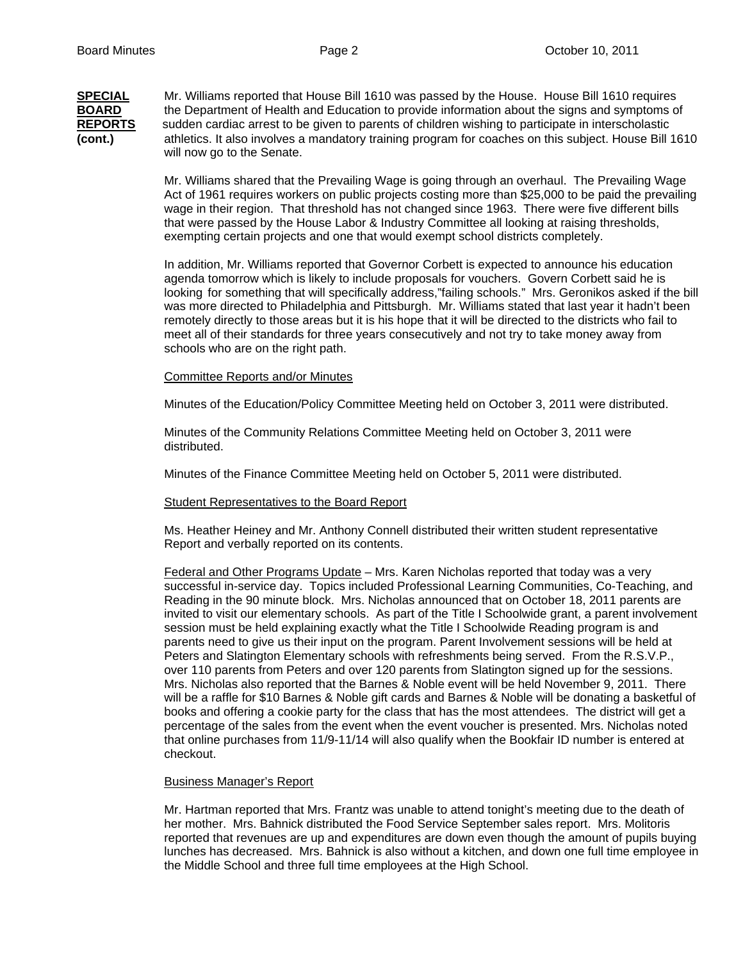## **SPECIAL** Mr. Williams reported that House Bill 1610 was passed by the House. House Bill 1610 requires **BOARD** the Department of Health and Education to provide information about the signs and symptoms of **REPORTS** sudden cardiac arrest to be given to parents of children wishing to participate in interscholastic **(cont.)**athletics. It also involves a mandatory training program for coaches on this subject. House Bill 1610 will now go to the Senate.

Mr. Williams shared that the Prevailing Wage is going through an overhaul. The Prevailing Wage Act of 1961 requires workers on public projects costing more than \$25,000 to be paid the prevailing wage in their region. That threshold has not changed since 1963. There were five different bills that were passed by the House Labor & Industry Committee all looking at raising thresholds, exempting certain projects and one that would exempt school districts completely.

 In addition, Mr. Williams reported that Governor Corbett is expected to announce his education agenda tomorrow which is likely to include proposals for vouchers. Govern Corbett said he is looking for something that will specifically address,"failing schools." Mrs. Geronikos asked if the bill was more directed to Philadelphia and Pittsburgh. Mr. Williams stated that last year it hadn't been remotely directly to those areas but it is his hope that it will be directed to the districts who fail to meet all of their standards for three years consecutively and not try to take money away from schools who are on the right path.

## Committee Reports and/or Minutes

Minutes of the Education/Policy Committee Meeting held on October 3, 2011 were distributed.

Minutes of the Community Relations Committee Meeting held on October 3, 2011 were distributed.

Minutes of the Finance Committee Meeting held on October 5, 2011 were distributed.

## Student Representatives to the Board Report

Ms. Heather Heiney and Mr. Anthony Connell distributed their written student representative Report and verbally reported on its contents.

Federal and Other Programs Update – Mrs. Karen Nicholas reported that today was a very successful in-service day. Topics included Professional Learning Communities, Co-Teaching, and Reading in the 90 minute block. Mrs. Nicholas announced that on October 18, 2011 parents are invited to visit our elementary schools. As part of the Title I Schoolwide grant, a parent involvement session must be held explaining exactly what the Title I Schoolwide Reading program is and parents need to give us their input on the program. Parent Involvement sessions will be held at Peters and Slatington Elementary schools with refreshments being served. From the R.S.V.P., over 110 parents from Peters and over 120 parents from Slatington signed up for the sessions. Mrs. Nicholas also reported that the Barnes & Noble event will be held November 9, 2011. There will be a raffle for \$10 Barnes & Noble gift cards and Barnes & Noble will be donating a basketful of books and offering a cookie party for the class that has the most attendees. The district will get a percentage of the sales from the event when the event voucher is presented. Mrs. Nicholas noted that online purchases from 11/9-11/14 will also qualify when the Bookfair ID number is entered at checkout.

#### Business Manager's Report

 Mr. Hartman reported that Mrs. Frantz was unable to attend tonight's meeting due to the death of her mother. Mrs. Bahnick distributed the Food Service September sales report. Mrs. Molitoris reported that revenues are up and expenditures are down even though the amount of pupils buying lunches has decreased. Mrs. Bahnick is also without a kitchen, and down one full time employee in the Middle School and three full time employees at the High School.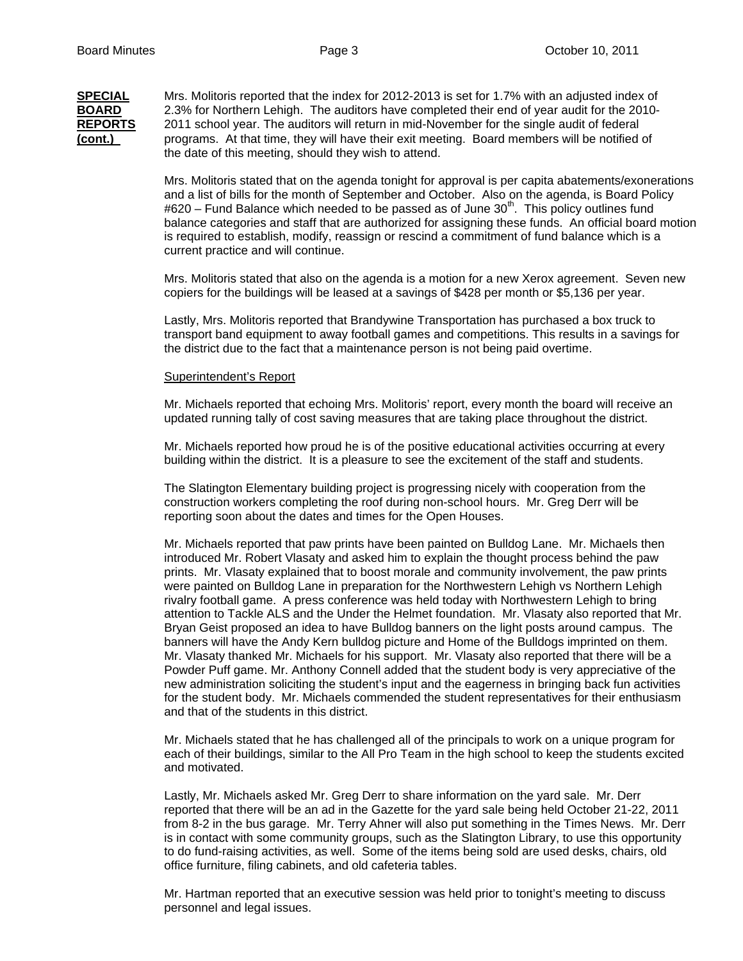**SPECIAL** Mrs. Molitoris reported that the index for 2012-2013 is set for 1.7% with an adjusted index of **BOARD** 2.3% for Northern Lehigh. The auditors have completed their end of year audit for the 2010- **REPORTS** 2011 school year. The auditors will return in mid-November for the single audit of federal **(cont.)** programs. At that time, they will have their exit meeting. Board members will be notified of the date of this meeting, should they wish to attend.

> Mrs. Molitoris stated that on the agenda tonight for approval is per capita abatements/exonerations and a list of bills for the month of September and October. Also on the agenda, is Board Policy  $\#620$  – Fund Balance which needed to be passed as of June 30<sup>th</sup>. This policy outlines fund balance categories and staff that are authorized for assigning these funds. An official board motion is required to establish, modify, reassign or rescind a commitment of fund balance which is a current practice and will continue.

Mrs. Molitoris stated that also on the agenda is a motion for a new Xerox agreement. Seven new copiers for the buildings will be leased at a savings of \$428 per month or \$5,136 per year.

Lastly, Mrs. Molitoris reported that Brandywine Transportation has purchased a box truck to transport band equipment to away football games and competitions. This results in a savings for the district due to the fact that a maintenance person is not being paid overtime.

#### Superintendent's Report

Mr. Michaels reported that echoing Mrs. Molitoris' report, every month the board will receive an updated running tally of cost saving measures that are taking place throughout the district.

Mr. Michaels reported how proud he is of the positive educational activities occurring at every building within the district. It is a pleasure to see the excitement of the staff and students.

The Slatington Elementary building project is progressing nicely with cooperation from the construction workers completing the roof during non-school hours. Mr. Greg Derr will be reporting soon about the dates and times for the Open Houses.

Mr. Michaels reported that paw prints have been painted on Bulldog Lane. Mr. Michaels then introduced Mr. Robert Vlasaty and asked him to explain the thought process behind the paw prints. Mr. Vlasaty explained that to boost morale and community involvement, the paw prints were painted on Bulldog Lane in preparation for the Northwestern Lehigh vs Northern Lehigh rivalry football game. A press conference was held today with Northwestern Lehigh to bring attention to Tackle ALS and the Under the Helmet foundation. Mr. Vlasaty also reported that Mr. Bryan Geist proposed an idea to have Bulldog banners on the light posts around campus. The banners will have the Andy Kern bulldog picture and Home of the Bulldogs imprinted on them. Mr. Vlasaty thanked Mr. Michaels for his support. Mr. Vlasaty also reported that there will be a Powder Puff game. Mr. Anthony Connell added that the student body is very appreciative of the new administration soliciting the student's input and the eagerness in bringing back fun activities for the student body. Mr. Michaels commended the student representatives for their enthusiasm and that of the students in this district.

Mr. Michaels stated that he has challenged all of the principals to work on a unique program for each of their buildings, similar to the All Pro Team in the high school to keep the students excited and motivated.

Lastly, Mr. Michaels asked Mr. Greg Derr to share information on the yard sale. Mr. Derr reported that there will be an ad in the Gazette for the yard sale being held October 21-22, 2011 from 8-2 in the bus garage. Mr. Terry Ahner will also put something in the Times News. Mr. Derr is in contact with some community groups, such as the Slatington Library, to use this opportunity to do fund-raising activities, as well. Some of the items being sold are used desks, chairs, old office furniture, filing cabinets, and old cafeteria tables.

Mr. Hartman reported that an executive session was held prior to tonight's meeting to discuss personnel and legal issues.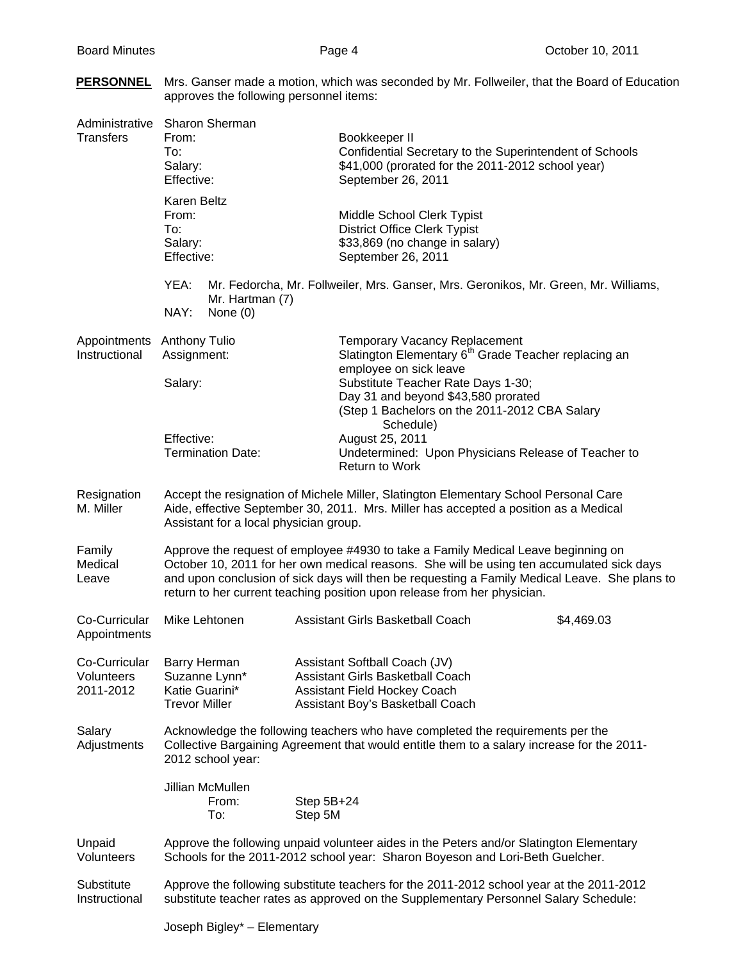| <b>PERSONNEL</b> Mrs. Ganser made a motion, which was seconded by Mr. Follweiler, that the Board of Education |
|---------------------------------------------------------------------------------------------------------------|
| approves the following personnel items:                                                                       |

| Administrative<br>Transfers   | <b>Sharon Sherman</b><br>From:<br>To:<br>Salary:<br>Effective:                                                                                                                                                                                                                                                                                              | Bookkeeper II<br>Confidential Secretary to the Superintendent of Schools<br>\$41,000 (prorated for the 2011-2012 school year)<br>September 26, 2011                                                                                                                           |            |  |  |
|-------------------------------|-------------------------------------------------------------------------------------------------------------------------------------------------------------------------------------------------------------------------------------------------------------------------------------------------------------------------------------------------------------|-------------------------------------------------------------------------------------------------------------------------------------------------------------------------------------------------------------------------------------------------------------------------------|------------|--|--|
|                               | Karen Beltz<br>From:<br>To:<br>Salary:<br>Effective:                                                                                                                                                                                                                                                                                                        | Middle School Clerk Typist<br><b>District Office Clerk Typist</b><br>\$33,869 (no change in salary)<br>September 26, 2011                                                                                                                                                     |            |  |  |
|                               | YEA:<br>Mr. Fedorcha, Mr. Follweiler, Mrs. Ganser, Mrs. Geronikos, Mr. Green, Mr. Williams,<br>Mr. Hartman (7)<br>NAY:<br>None $(0)$                                                                                                                                                                                                                        |                                                                                                                                                                                                                                                                               |            |  |  |
| Appointments<br>Instructional | <b>Anthony Tulio</b><br>Assignment:<br>Salary:                                                                                                                                                                                                                                                                                                              | <b>Temporary Vacancy Replacement</b><br>Slatington Elementary 6 <sup>th</sup> Grade Teacher replacing an<br>employee on sick leave<br>Substitute Teacher Rate Days 1-30;<br>Day 31 and beyond \$43,580 prorated<br>(Step 1 Bachelors on the 2011-2012 CBA Salary<br>Schedule) |            |  |  |
|                               | Effective:<br><b>Termination Date:</b>                                                                                                                                                                                                                                                                                                                      | August 25, 2011<br>Undetermined: Upon Physicians Release of Teacher to<br><b>Return to Work</b>                                                                                                                                                                               |            |  |  |
| Resignation<br>M. Miller      | Accept the resignation of Michele Miller, Slatington Elementary School Personal Care<br>Aide, effective September 30, 2011. Mrs. Miller has accepted a position as a Medical<br>Assistant for a local physician group.                                                                                                                                      |                                                                                                                                                                                                                                                                               |            |  |  |
| Family<br>Medical<br>Leave    | Approve the request of employee #4930 to take a Family Medical Leave beginning on<br>October 10, 2011 for her own medical reasons. She will be using ten accumulated sick days<br>and upon conclusion of sick days will then be requesting a Family Medical Leave. She plans to<br>return to her current teaching position upon release from her physician. |                                                                                                                                                                                                                                                                               |            |  |  |
| Co-Curricular<br>Appointments | Mike Lehtonen                                                                                                                                                                                                                                                                                                                                               | Assistant Girls Basketball Coach                                                                                                                                                                                                                                              | \$4,469.03 |  |  |
| Volunteers<br>2011-2012       | Co-Curricular Barry Herman<br>Suzanne Lynn*<br>Katie Guarini*<br><b>Trevor Miller</b>                                                                                                                                                                                                                                                                       | Assistant Softball Coach (JV)<br>Assistant Girls Basketball Coach<br><b>Assistant Field Hockey Coach</b><br>Assistant Boy's Basketball Coach                                                                                                                                  |            |  |  |
| Salary<br>Adjustments         | Acknowledge the following teachers who have completed the requirements per the<br>Collective Bargaining Agreement that would entitle them to a salary increase for the 2011-<br>2012 school year:                                                                                                                                                           |                                                                                                                                                                                                                                                                               |            |  |  |
|                               | Jillian McMullen<br>From:<br>To:                                                                                                                                                                                                                                                                                                                            | Step 5B+24<br>Step 5M                                                                                                                                                                                                                                                         |            |  |  |
| Unpaid<br>Volunteers          | Approve the following unpaid volunteer aides in the Peters and/or Slatington Elementary<br>Schools for the 2011-2012 school year: Sharon Boyeson and Lori-Beth Guelcher.                                                                                                                                                                                    |                                                                                                                                                                                                                                                                               |            |  |  |
| Substitute<br>Instructional   | Approve the following substitute teachers for the 2011-2012 school year at the 2011-2012<br>substitute teacher rates as approved on the Supplementary Personnel Salary Schedule:                                                                                                                                                                            |                                                                                                                                                                                                                                                                               |            |  |  |
|                               | Joseph Bigley* - Elementary                                                                                                                                                                                                                                                                                                                                 |                                                                                                                                                                                                                                                                               |            |  |  |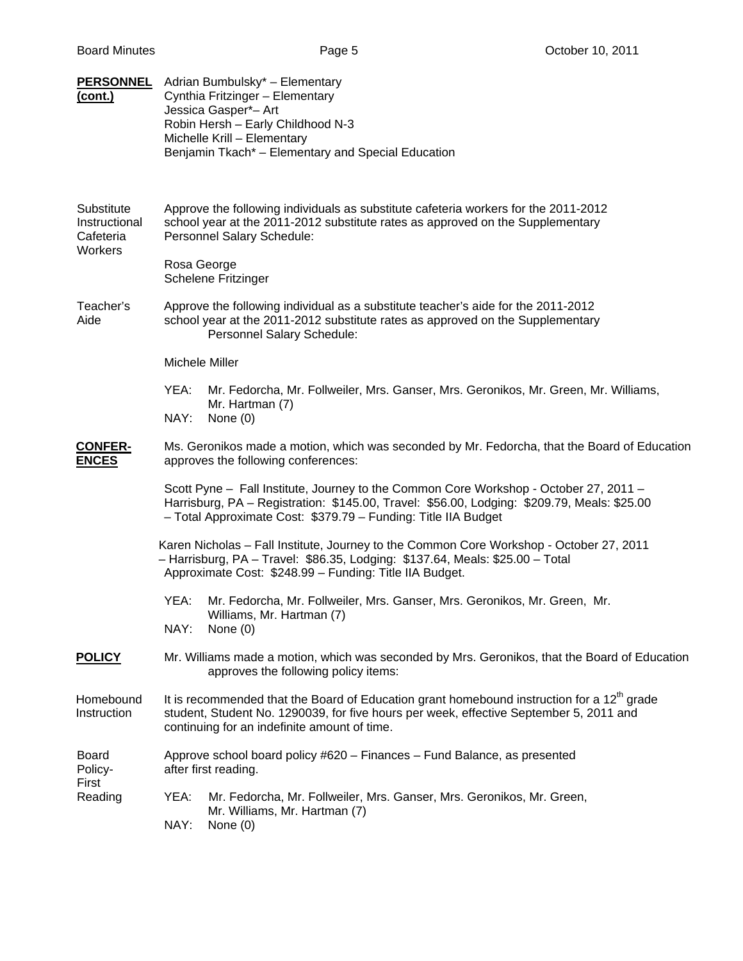| <b>PERSONNEL</b><br><u>(cont.)</u>                  | Adrian Bumbulsky* - Elementary<br>Cynthia Fritzinger - Elementary<br>Jessica Gasper*- Art<br>Robin Hersh - Early Childhood N-3<br>Michelle Krill - Elementary<br>Benjamin Tkach* - Elementary and Special Education                                    |  |  |
|-----------------------------------------------------|--------------------------------------------------------------------------------------------------------------------------------------------------------------------------------------------------------------------------------------------------------|--|--|
| Substitute<br>Instructional<br>Cafeteria<br>Workers | Approve the following individuals as substitute cafeteria workers for the 2011-2012<br>school year at the 2011-2012 substitute rates as approved on the Supplementary<br>Personnel Salary Schedule:<br>Rosa George<br>Schelene Fritzinger              |  |  |
| Teacher's<br>Aide                                   | Approve the following individual as a substitute teacher's aide for the 2011-2012<br>school year at the 2011-2012 substitute rates as approved on the Supplementary<br>Personnel Salary Schedule:                                                      |  |  |
|                                                     | Michele Miller                                                                                                                                                                                                                                         |  |  |
|                                                     | Mr. Fedorcha, Mr. Follweiler, Mrs. Ganser, Mrs. Geronikos, Mr. Green, Mr. Williams,<br>YEA:<br>Mr. Hartman (7)<br>NAY:<br>None $(0)$                                                                                                                   |  |  |
| <b>CONFER-</b><br><b>ENCES</b>                      | Ms. Geronikos made a motion, which was seconded by Mr. Fedorcha, that the Board of Education<br>approves the following conferences:                                                                                                                    |  |  |
|                                                     | Scott Pyne - Fall Institute, Journey to the Common Core Workshop - October 27, 2011 -<br>Harrisburg, PA - Registration: \$145.00, Travel: \$56.00, Lodging: \$209.79, Meals: \$25.00<br>- Total Approximate Cost: \$379.79 - Funding: Title IIA Budget |  |  |
|                                                     | Karen Nicholas - Fall Institute, Journey to the Common Core Workshop - October 27, 2011<br>- Harrisburg, PA - Travel: \$86.35, Lodging: \$137.64, Meals: \$25.00 - Total<br>Approximate Cost: \$248.99 - Funding: Title IIA Budget.                    |  |  |
|                                                     | YEA:<br>Mr. Fedorcha, Mr. Follweiler, Mrs. Ganser, Mrs. Geronikos, Mr. Green, Mr.<br>Williams, Mr. Hartman (7)<br>NAY:<br>None $(0)$                                                                                                                   |  |  |
| <b>POLICY</b>                                       | Mr. Williams made a motion, which was seconded by Mrs. Geronikos, that the Board of Education<br>approves the following policy items:                                                                                                                  |  |  |
| Homebound<br>Instruction                            | It is recommended that the Board of Education grant homebound instruction for a $12th$ grade<br>student, Student No. 1290039, for five hours per week, effective September 5, 2011 and<br>continuing for an indefinite amount of time.                 |  |  |
| Board<br>Policy-<br>First                           | Approve school board policy #620 – Finances – Fund Balance, as presented<br>after first reading.                                                                                                                                                       |  |  |
| Reading                                             | YEA:<br>Mr. Fedorcha, Mr. Follweiler, Mrs. Ganser, Mrs. Geronikos, Mr. Green,<br>Mr. Williams, Mr. Hartman (7)<br>NAY:<br>None $(0)$                                                                                                                   |  |  |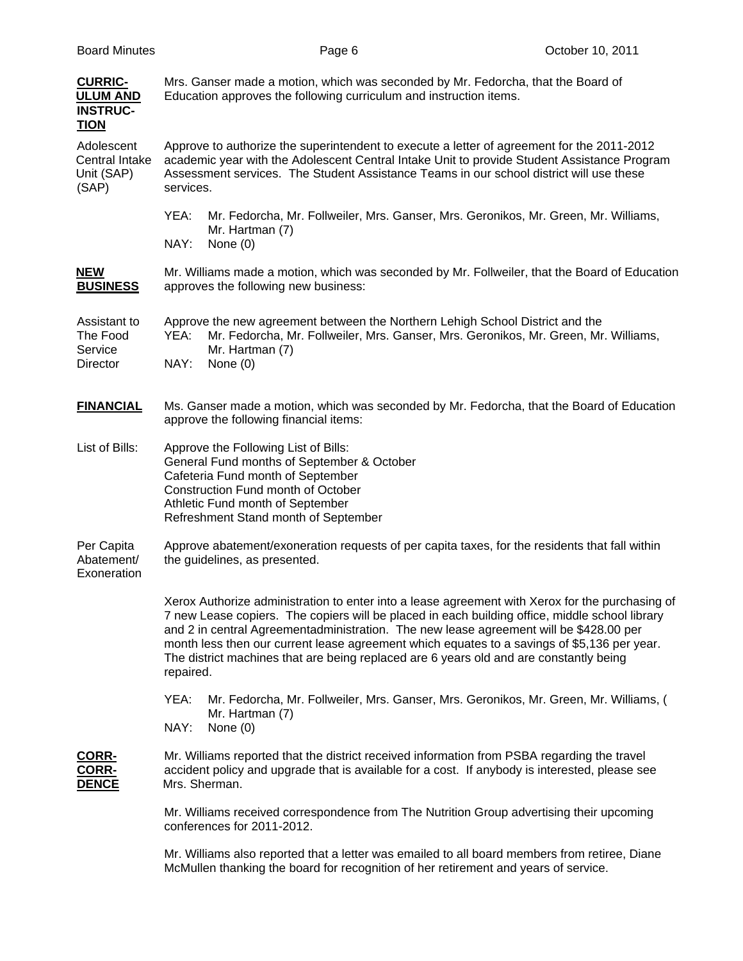| <b>CURRIC-</b><br><b>ULUM AND</b><br><b>INSTRUC-</b><br><b>TION</b> | Mrs. Ganser made a motion, which was seconded by Mr. Fedorcha, that the Board of<br>Education approves the following curriculum and instruction items.                                                                                                                                                                                                                                                                                                                                            |  |  |
|---------------------------------------------------------------------|---------------------------------------------------------------------------------------------------------------------------------------------------------------------------------------------------------------------------------------------------------------------------------------------------------------------------------------------------------------------------------------------------------------------------------------------------------------------------------------------------|--|--|
| Adolescent<br>Central Intake<br>Unit (SAP)<br>(SAP)                 | Approve to authorize the superintendent to execute a letter of agreement for the 2011-2012<br>academic year with the Adolescent Central Intake Unit to provide Student Assistance Program<br>Assessment services. The Student Assistance Teams in our school district will use these<br>services.                                                                                                                                                                                                 |  |  |
|                                                                     | Mr. Fedorcha, Mr. Follweiler, Mrs. Ganser, Mrs. Geronikos, Mr. Green, Mr. Williams,<br>YEA:<br>Mr. Hartman (7)<br>NAY:<br>None $(0)$                                                                                                                                                                                                                                                                                                                                                              |  |  |
| <b>NEW</b><br><b>BUSINESS</b>                                       | Mr. Williams made a motion, which was seconded by Mr. Follweiler, that the Board of Education<br>approves the following new business:                                                                                                                                                                                                                                                                                                                                                             |  |  |
| Assistant to<br>The Food<br>Service<br>Director                     | Approve the new agreement between the Northern Lehigh School District and the<br>Mr. Fedorcha, Mr. Follweiler, Mrs. Ganser, Mrs. Geronikos, Mr. Green, Mr. Williams,<br>YEA:<br>Mr. Hartman (7)<br>NAY:<br>None $(0)$                                                                                                                                                                                                                                                                             |  |  |
| <b>FINANCIAL</b>                                                    | Ms. Ganser made a motion, which was seconded by Mr. Fedorcha, that the Board of Education<br>approve the following financial items:                                                                                                                                                                                                                                                                                                                                                               |  |  |
| List of Bills:                                                      | Approve the Following List of Bills:<br>General Fund months of September & October<br>Cafeteria Fund month of September<br>Construction Fund month of October<br>Athletic Fund month of September<br>Refreshment Stand month of September                                                                                                                                                                                                                                                         |  |  |
| Per Capita<br>Abatement/<br>Exoneration                             | Approve abatement/exoneration requests of per capita taxes, for the residents that fall within<br>the guidelines, as presented.                                                                                                                                                                                                                                                                                                                                                                   |  |  |
|                                                                     | Xerox Authorize administration to enter into a lease agreement with Xerox for the purchasing of<br>7 new Lease copiers. The copiers will be placed in each building office, middle school library<br>and 2 in central Agreementadministration. The new lease agreement will be \$428.00 per<br>month less then our current lease agreement which equates to a savings of \$5,136 per year.<br>The district machines that are being replaced are 6 years old and are constantly being<br>repaired. |  |  |
|                                                                     | YEA:<br>Mr. Fedorcha, Mr. Follweiler, Mrs. Ganser, Mrs. Geronikos, Mr. Green, Mr. Williams, (<br>Mr. Hartman (7)<br>NAY:<br>None $(0)$                                                                                                                                                                                                                                                                                                                                                            |  |  |
| CORR-<br><u>CORR-</u><br><b>DENCE</b>                               | Mr. Williams reported that the district received information from PSBA regarding the travel<br>accident policy and upgrade that is available for a cost. If anybody is interested, please see<br>Mrs. Sherman.                                                                                                                                                                                                                                                                                    |  |  |
|                                                                     | Mr. Williams received correspondence from The Nutrition Group advertising their upcoming<br>conferences for 2011-2012.                                                                                                                                                                                                                                                                                                                                                                            |  |  |
|                                                                     | Mr. Williams also reported that a letter was emailed to all board members from retiree, Diane<br>McMullen thanking the board for recognition of her retirement and years of service.                                                                                                                                                                                                                                                                                                              |  |  |